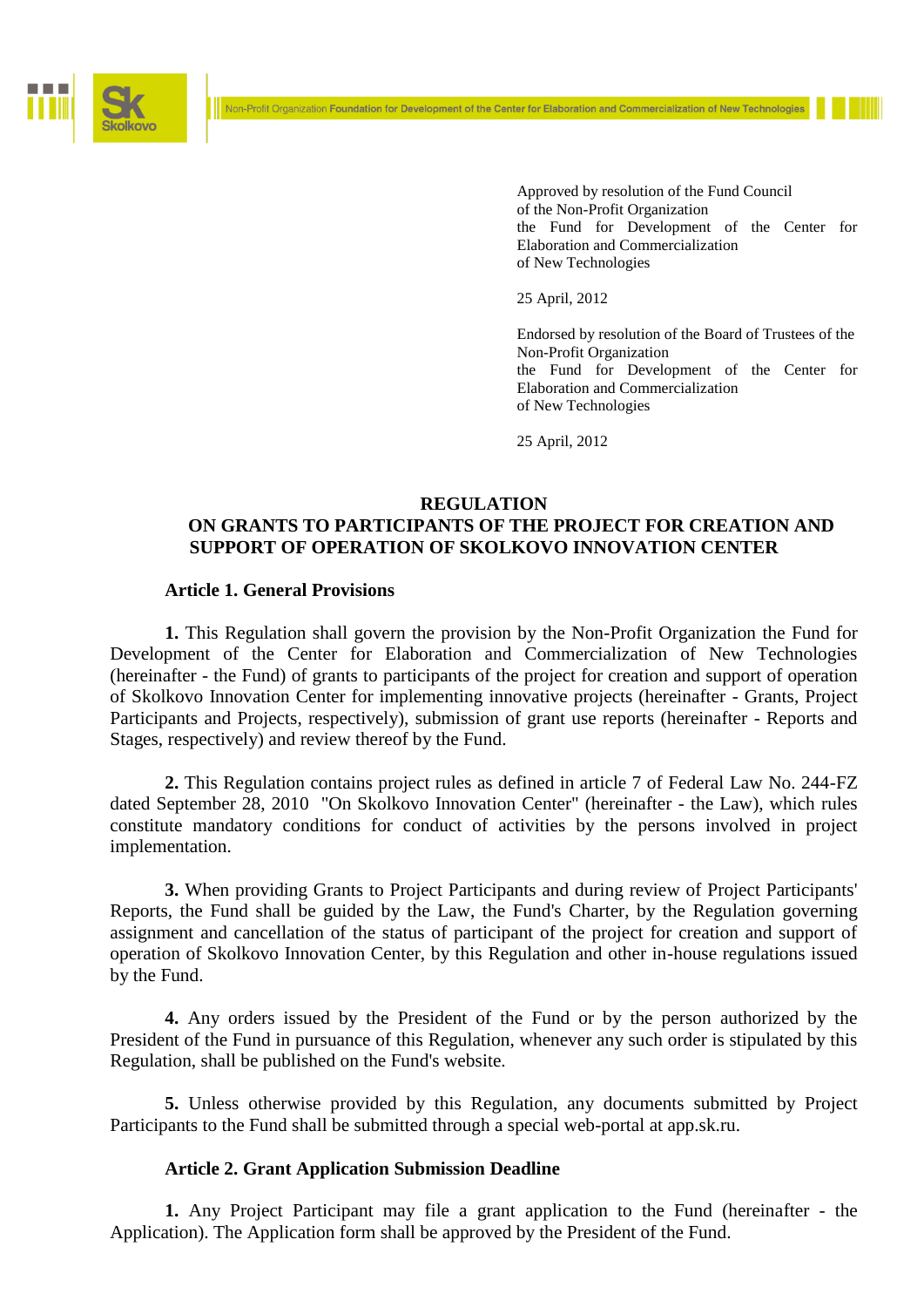

Approved by resolution of the Fund Council of the Non-Profit Organization the Fund for Development of the Center for Elaboration and Commercialization of New Technologies

25 April, 2012

Endorsed by resolution of the Board of Trustees of the Non-Profit Organization the Fund for Development of the Center for Elaboration and Commercialization of New Technologies

25 April, 2012

# **REGULATION ON GRANTS TO PARTICIPANTS OF THE PROJECT FOR CREATION AND SUPPORT OF OPERATION OF SKOLKOVO INNOVATION CENTER**

Non-Profit Organization Foundation for Development of the Center for Elaboration and Commercialization of New Technologies

## **Article 1. General Provisions**

**1.** This Regulation shall govern the provision by the Non-Profit Organization the Fund for Development of the Center for Elaboration and Commercialization of New Technologies (hereinafter - the Fund) of grants to participants of the project for creation and support of operation of Skolkovo Innovation Center for implementing innovative projects (hereinafter - Grants, Project Participants and Projects, respectively), submission of grant use reports (hereinafter - Reports and Stages, respectively) and review thereof by the Fund.

**2.** This Regulation contains project rules as defined in article 7 of Federal Law No. 244-FZ dated September 28, 2010 "On Skolkovo Innovation Center" (hereinafter - the Law), which rules constitute mandatory conditions for conduct of activities by the persons involved in project implementation.

**3.** When providing Grants to Project Participants and during review of Project Participants' Reports, the Fund shall be guided by the Law, the Fund's Charter, by the Regulation governing assignment and cancellation of the status of participant of the project for creation and support of operation of Skolkovo Innovation Center, by this Regulation and other in-house regulations issued by the Fund.

**4.** Any orders issued by the President of the Fund or by the person authorized by the President of the Fund in pursuance of this Regulation, whenever any such order is stipulated by this Regulation, shall be published on the Fund's website.

**5.** Unless otherwise provided by this Regulation, any documents submitted by Project Participants to the Fund shall be submitted through a special web-portal at app.sk.ru.

#### **Article 2. Grant Application Submission Deadline**

**1.** Any Project Participant may file a grant application to the Fund (hereinafter - the Application). The Application form shall be approved by the President of the Fund.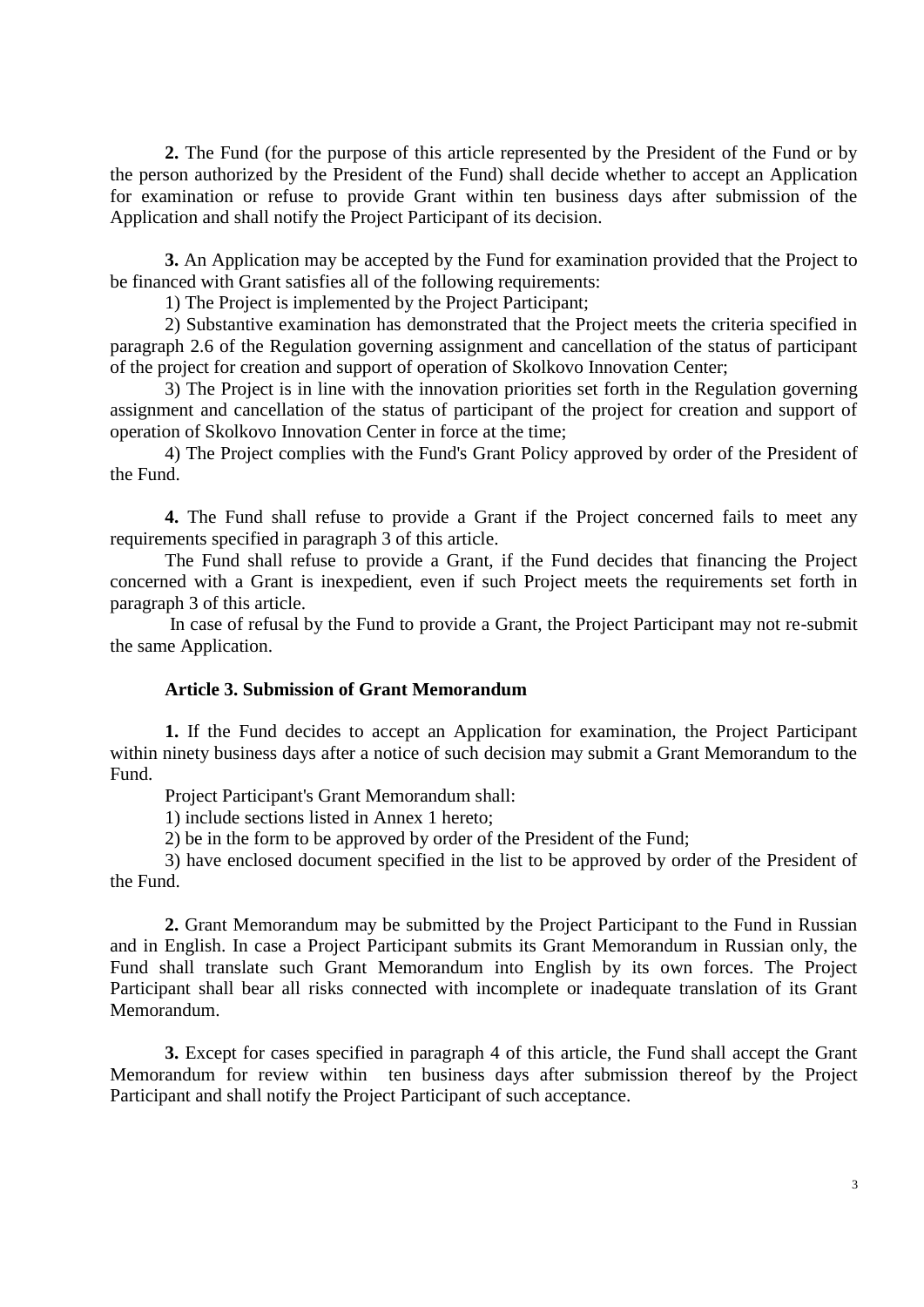**2.** The Fund (for the purpose of this article represented by the President of the Fund or by the person authorized by the President of the Fund) shall decide whether to accept an Application for examination or refuse to provide Grant within ten business days after submission of the Application and shall notify the Project Participant of its decision.

**3.** An Application may be accepted by the Fund for examination provided that the Project to be financed with Grant satisfies all of the following requirements:

1) The Project is implemented by the Project Participant;

2) Substantive examination has demonstrated that the Project meets the criteria specified in paragraph 2.6 of the Regulation governing assignment and cancellation of the status of participant of the project for creation and support of operation of Skolkovo Innovation Center;

3) The Project is in line with the innovation priorities set forth in the Regulation governing assignment and cancellation of the status of participant of the project for creation and support of operation of Skolkovo Innovation Center in force at the time;

4) The Project complies with the Fund's Grant Policy approved by order of the President of the Fund.

**4.** The Fund shall refuse to provide a Grant if the Project concerned fails to meet any requirements specified in paragraph 3 of this article.

The Fund shall refuse to provide a Grant, if the Fund decides that financing the Project concerned with a Grant is inexpedient, even if such Project meets the requirements set forth in paragraph 3 of this article.

In case of refusal by the Fund to provide a Grant, the Project Participant may not re-submit the same Application.

## **Article 3. Submission of Grant Memorandum**

**1.** If the Fund decides to accept an Application for examination, the Project Participant within ninety business days after a notice of such decision may submit a Grant Memorandum to the Fund.

Project Participant's Grant Memorandum shall:

1) include sections listed in Annex 1 hereto;

2) be in the form to be approved by order of the President of the Fund;

3) have enclosed document specified in the list to be approved by order of the President of the Fund.

**2.** Grant Memorandum may be submitted by the Project Participant to the Fund in Russian and in English. In case a Project Participant submits its Grant Memorandum in Russian only, the Fund shall translate such Grant Memorandum into English by its own forces. The Project Participant shall bear all risks connected with incomplete or inadequate translation of its Grant Memorandum.

**3.** Except for cases specified in paragraph 4 of this article, the Fund shall accept the Grant Memorandum for review within ten business days after submission thereof by the Project Participant and shall notify the Project Participant of such acceptance.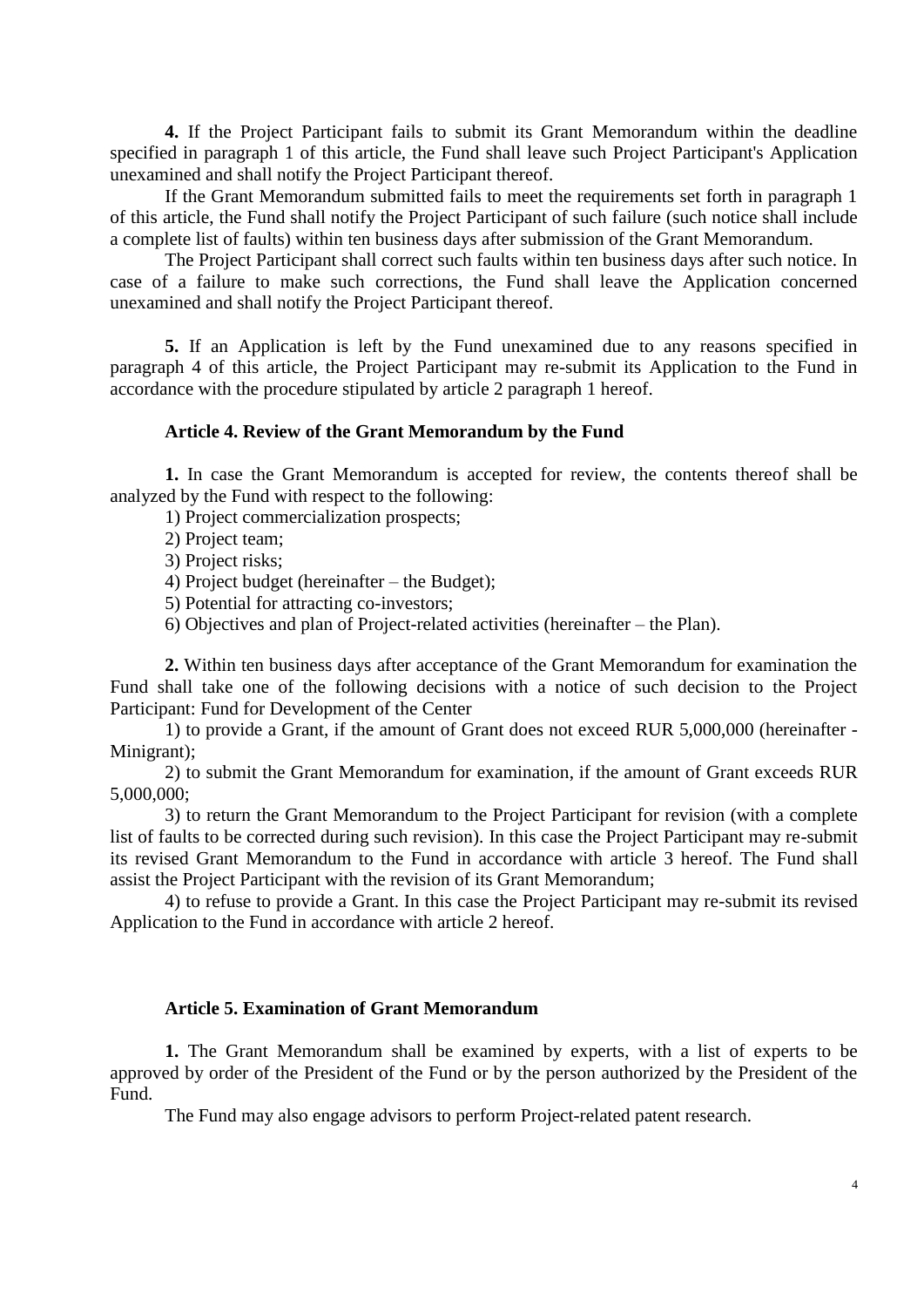**4.** If the Project Participant fails to submit its Grant Memorandum within the deadline specified in paragraph 1 of this article, the Fund shall leave such Project Participant's Application unexamined and shall notify the Project Participant thereof.

If the Grant Memorandum submitted fails to meet the requirements set forth in paragraph 1 of this article, the Fund shall notify the Project Participant of such failure (such notice shall include a complete list of faults) within ten business days after submission of the Grant Memorandum.

The Project Participant shall correct such faults within ten business days after such notice. In case of a failure to make such corrections, the Fund shall leave the Application concerned unexamined and shall notify the Project Participant thereof.

**5.** If an Application is left by the Fund unexamined due to any reasons specified in paragraph 4 of this article, the Project Participant may re-submit its Application to the Fund in accordance with the procedure stipulated by article 2 paragraph 1 hereof.

# **Article 4. Review of the Grant Memorandum by the Fund**

**1.** In case the Grant Memorandum is accepted for review, the contents thereof shall be analyzed by the Fund with respect to the following:

1) Project commercialization prospects;

2) Project team;

3) Project risks;

4) Project budget (hereinafter – the Budget);

5) Potential for attracting co-investors;

6) Objectives and plan of Project-related activities (hereinafter – the Plan).

**2.** Within ten business days after acceptance of the Grant Memorandum for examination the Fund shall take one of the following decisions with a notice of such decision to the Project Participant: Fund for Development of the Center

1) to provide a Grant, if the amount of Grant does not exceed RUR 5,000,000 (hereinafter - Minigrant);

2) to submit the Grant Memorandum for examination, if the amount of Grant exceeds RUR 5,000,000;

3) to return the Grant Memorandum to the Project Participant for revision (with a complete list of faults to be corrected during such revision). In this case the Project Participant may re-submit its revised Grant Memorandum to the Fund in accordance with article 3 hereof. The Fund shall assist the Project Participant with the revision of its Grant Memorandum;

4) to refuse to provide a Grant. In this case the Project Participant may re-submit its revised Application to the Fund in accordance with article 2 hereof.

#### **Article 5. Examination of Grant Memorandum**

**1.** The Grant Memorandum shall be examined by experts, with a list of experts to be approved by order of the President of the Fund or by the person authorized by the President of the Fund.

The Fund may also engage advisors to perform Project-related patent research.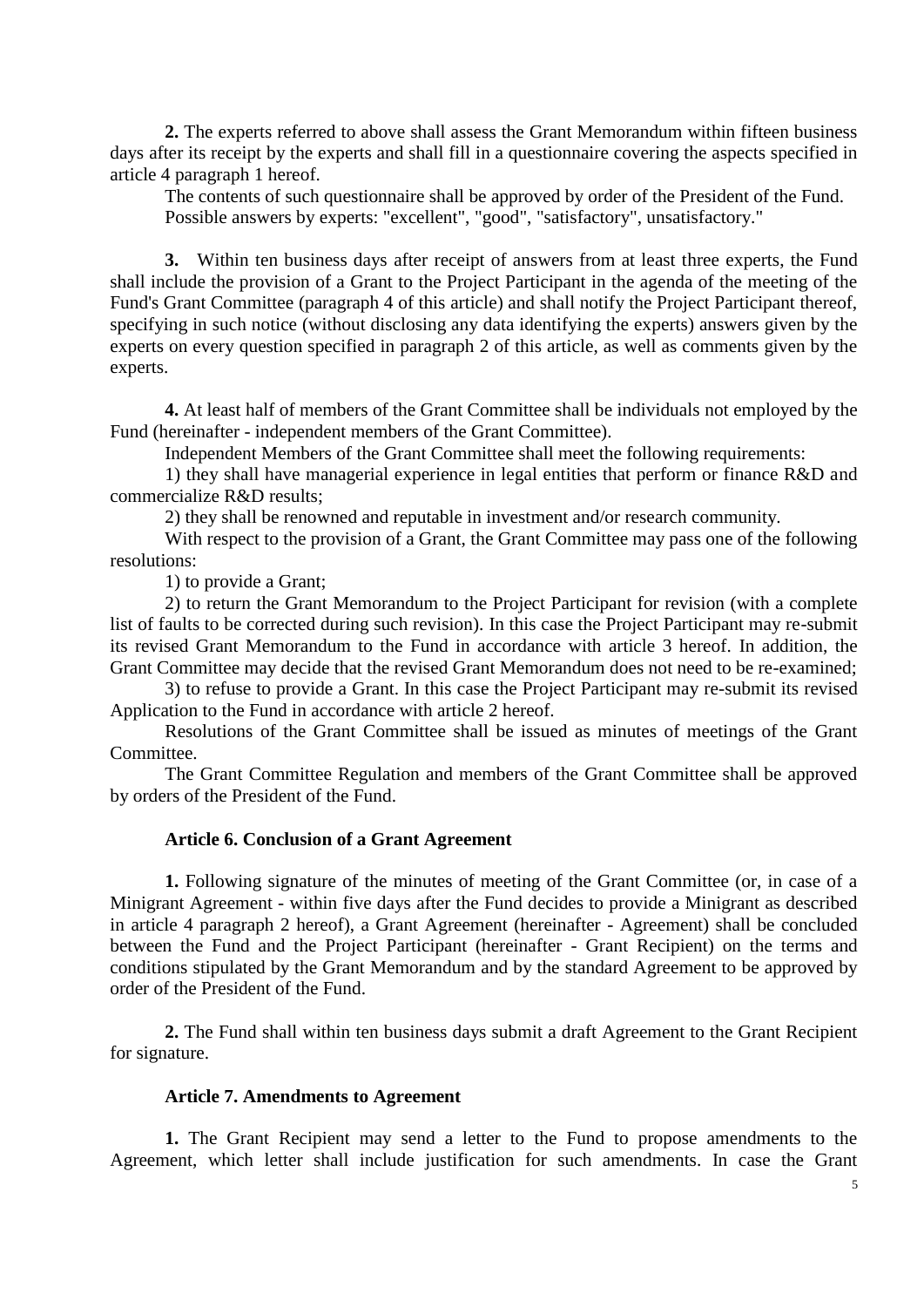**2.** The experts referred to above shall assess the Grant Memorandum within fifteen business days after its receipt by the experts and shall fill in a questionnaire covering the aspects specified in article 4 paragraph 1 hereof.

The contents of such questionnaire shall be approved by order of the President of the Fund. Possible answers by experts: "excellent", "good", "satisfactory", unsatisfactory."

**3.** Within ten business days after receipt of answers from at least three experts, the Fund shall include the provision of a Grant to the Project Participant in the agenda of the meeting of the Fund's Grant Committee (paragraph 4 of this article) and shall notify the Project Participant thereof, specifying in such notice (without disclosing any data identifying the experts) answers given by the experts on every question specified in paragraph 2 of this article, as well as comments given by the experts.

**4.** At least half of members of the Grant Committee shall be individuals not employed by the Fund (hereinafter - independent members of the Grant Committee).

Independent Members of the Grant Committee shall meet the following requirements:

1) they shall have managerial experience in legal entities that perform or finance R&D and commercialize R&D results;

2) they shall be renowned and reputable in investment and/or research community.

With respect to the provision of a Grant, the Grant Committee may pass one of the following resolutions:

1) to provide a Grant;

2) to return the Grant Memorandum to the Project Participant for revision (with a complete list of faults to be corrected during such revision). In this case the Project Participant may re-submit its revised Grant Memorandum to the Fund in accordance with article 3 hereof. In addition, the Grant Committee may decide that the revised Grant Memorandum does not need to be re-examined;

3) to refuse to provide a Grant. In this case the Project Participant may re-submit its revised Application to the Fund in accordance with article 2 hereof.

Resolutions of the Grant Committee shall be issued as minutes of meetings of the Grant Committee.

The Grant Committee Regulation and members of the Grant Committee shall be approved by orders of the President of the Fund.

## **Article 6. Conclusion of a Grant Agreement**

**1.** Following signature of the minutes of meeting of the Grant Committee (or, in case of a Minigrant Agreement - within five days after the Fund decides to provide a Minigrant as described in article 4 paragraph 2 hereof), a Grant Agreement (hereinafter - Agreement) shall be concluded between the Fund and the Project Participant (hereinafter - Grant Recipient) on the terms and conditions stipulated by the Grant Memorandum and by the standard Agreement to be approved by order of the President of the Fund.

**2.** The Fund shall within ten business days submit a draft Agreement to the Grant Recipient for signature.

## **Article 7. Amendments to Agreement**

**1.** The Grant Recipient may send a letter to the Fund to propose amendments to the Agreement, which letter shall include justification for such amendments. In case the Grant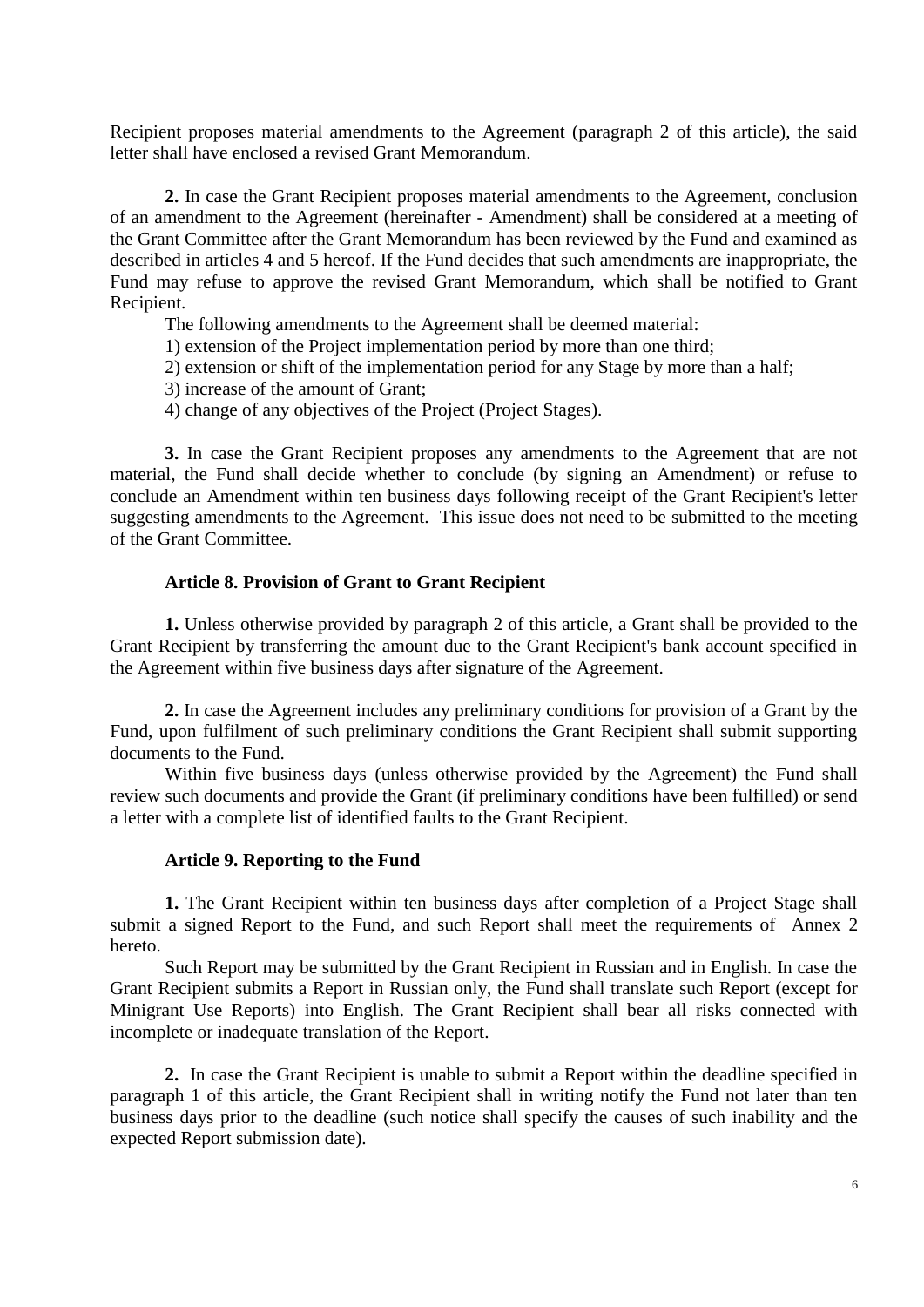Recipient proposes material amendments to the Agreement (paragraph 2 of this article), the said letter shall have enclosed a revised Grant Memorandum.

**2.** In case the Grant Recipient proposes material amendments to the Agreement, conclusion of an amendment to the Agreement (hereinafter - Amendment) shall be considered at a meeting of the Grant Committee after the Grant Memorandum has been reviewed by the Fund and examined as described in articles 4 and 5 hereof. If the Fund decides that such amendments are inappropriate, the Fund may refuse to approve the revised Grant Memorandum, which shall be notified to Grant Recipient.

The following amendments to the Agreement shall be deemed material:

1) extension of the Project implementation period by more than one third;

- 2) extension or shift of the implementation period for any Stage by more than a half;
- 3) increase of the amount of Grant;
- 4) change of any objectives of the Project (Project Stages).

**3.** In case the Grant Recipient proposes any amendments to the Agreement that are not material, the Fund shall decide whether to conclude (by signing an Amendment) or refuse to conclude an Amendment within ten business days following receipt of the Grant Recipient's letter suggesting amendments to the Agreement. This issue does not need to be submitted to the meeting of the Grant Committee.

#### **Article 8. Provision of Grant to Grant Recipient**

**1.** Unless otherwise provided by paragraph 2 of this article, a Grant shall be provided to the Grant Recipient by transferring the amount due to the Grant Recipient's bank account specified in the Agreement within five business days after signature of the Agreement.

**2.** In case the Agreement includes any preliminary conditions for provision of a Grant by the Fund, upon fulfilment of such preliminary conditions the Grant Recipient shall submit supporting documents to the Fund.

Within five business days (unless otherwise provided by the Agreement) the Fund shall review such documents and provide the Grant (if preliminary conditions have been fulfilled) or send a letter with a complete list of identified faults to the Grant Recipient.

#### **Article 9. Reporting to the Fund**

**1.** The Grant Recipient within ten business days after completion of a Project Stage shall submit a signed Report to the Fund, and such Report shall meet the requirements of Annex 2 hereto.

Such Report may be submitted by the Grant Recipient in Russian and in English. In case the Grant Recipient submits a Report in Russian only, the Fund shall translate such Report (except for Minigrant Use Reports) into English. The Grant Recipient shall bear all risks connected with incomplete or inadequate translation of the Report.

**2.** In case the Grant Recipient is unable to submit a Report within the deadline specified in paragraph 1 of this article, the Grant Recipient shall in writing notify the Fund not later than ten business days prior to the deadline (such notice shall specify the causes of such inability and the expected Report submission date).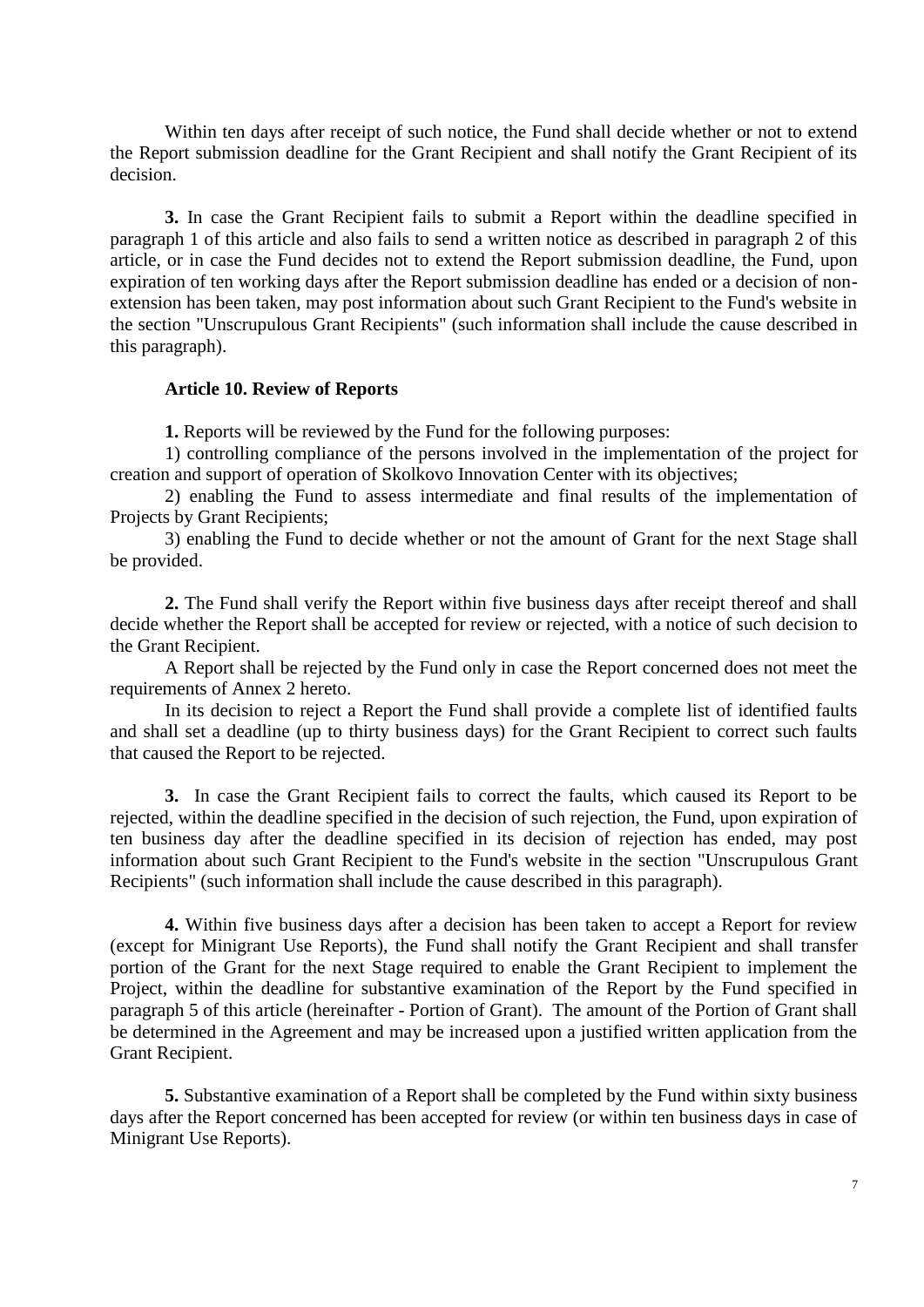Within ten days after receipt of such notice, the Fund shall decide whether or not to extend the Report submission deadline for the Grant Recipient and shall notify the Grant Recipient of its decision.

**3.** In case the Grant Recipient fails to submit a Report within the deadline specified in paragraph 1 of this article and also fails to send a written notice as described in paragraph 2 of this article, or in case the Fund decides not to extend the Report submission deadline, the Fund, upon expiration of ten working days after the Report submission deadline has ended or a decision of nonextension has been taken, may post information about such Grant Recipient to the Fund's website in the section "Unscrupulous Grant Recipients" (such information shall include the cause described in this paragraph).

#### **Article 10. Review of Reports**

**1.** Reports will be reviewed by the Fund for the following purposes:

1) controlling compliance of the persons involved in the implementation of the project for creation and support of operation of Skolkovo Innovation Center with its objectives;

2) enabling the Fund to assess intermediate and final results of the implementation of Projects by Grant Recipients;

3) enabling the Fund to decide whether or not the amount of Grant for the next Stage shall be provided.

**2.** The Fund shall verify the Report within five business days after receipt thereof and shall decide whether the Report shall be accepted for review or rejected, with a notice of such decision to the Grant Recipient.

A Report shall be rejected by the Fund only in case the Report concerned does not meet the requirements of Annex 2 hereto.

In its decision to reject a Report the Fund shall provide a complete list of identified faults and shall set a deadline (up to thirty business days) for the Grant Recipient to correct such faults that caused the Report to be rejected.

**3.** In case the Grant Recipient fails to correct the faults, which caused its Report to be rejected, within the deadline specified in the decision of such rejection, the Fund, upon expiration of ten business day after the deadline specified in its decision of rejection has ended, may post information about such Grant Recipient to the Fund's website in the section "Unscrupulous Grant Recipients" (such information shall include the cause described in this paragraph).

**4.** Within five business days after a decision has been taken to accept a Report for review (except for Minigrant Use Reports), the Fund shall notify the Grant Recipient and shall transfer portion of the Grant for the next Stage required to enable the Grant Recipient to implement the Project, within the deadline for substantive examination of the Report by the Fund specified in paragraph 5 of this article (hereinafter - Portion of Grant). The amount of the Portion of Grant shall be determined in the Agreement and may be increased upon a justified written application from the Grant Recipient.

**5.** Substantive examination of a Report shall be completed by the Fund within sixty business days after the Report concerned has been accepted for review (or within ten business days in case of Minigrant Use Reports).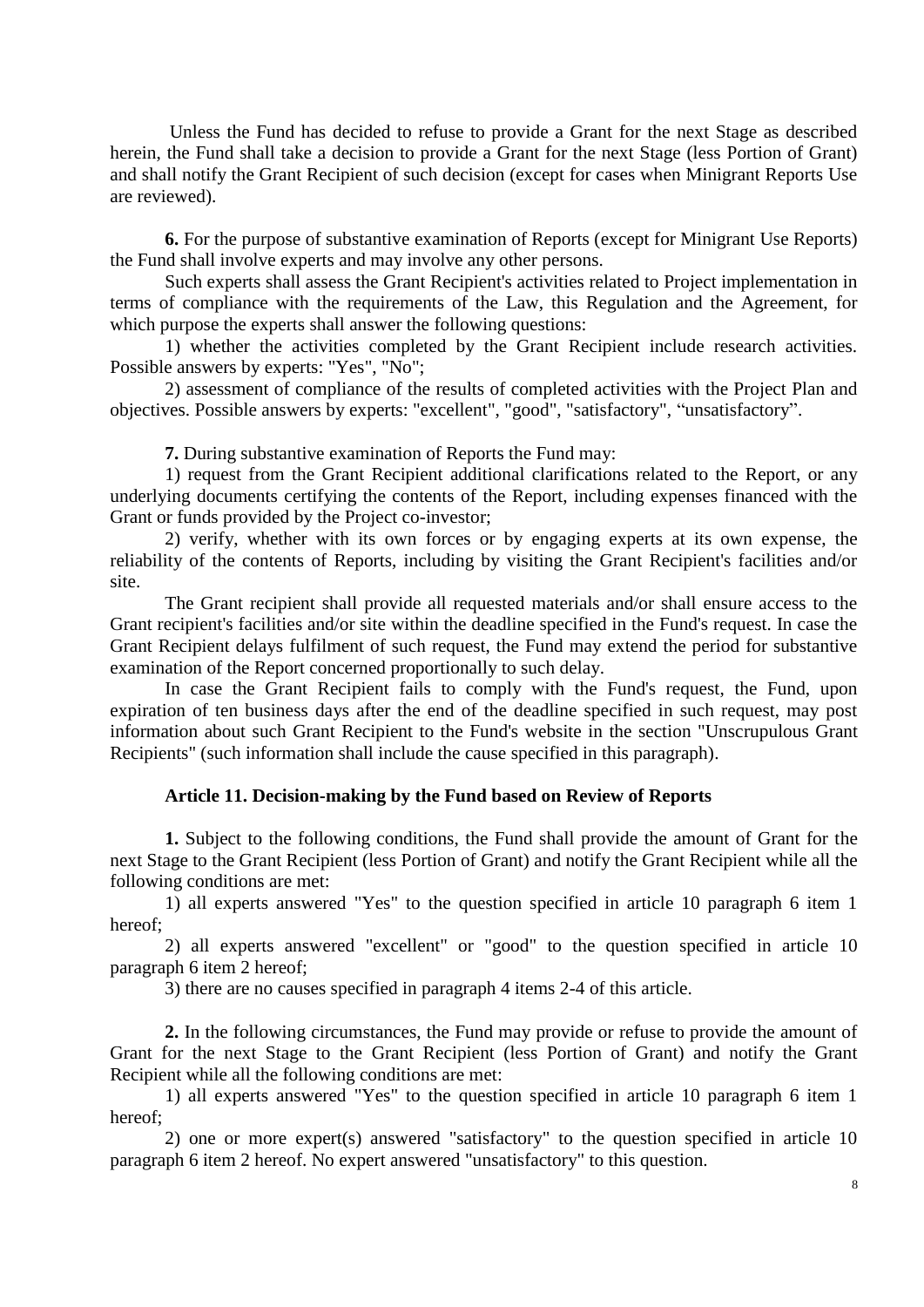Unless the Fund has decided to refuse to provide a Grant for the next Stage as described herein, the Fund shall take a decision to provide a Grant for the next Stage (less Portion of Grant) and shall notify the Grant Recipient of such decision (except for cases when Minigrant Reports Use are reviewed).

**6.** For the purpose of substantive examination of Reports (except for Minigrant Use Reports) the Fund shall involve experts and may involve any other persons.

Such experts shall assess the Grant Recipient's activities related to Project implementation in terms of compliance with the requirements of the Law, this Regulation and the Agreement, for which purpose the experts shall answer the following questions:

1) whether the activities completed by the Grant Recipient include research activities. Possible answers by experts: "Yes", "No";

2) assessment of compliance of the results of completed activities with the Project Plan and objectives. Possible answers by experts: "excellent", "good", "satisfactory", "unsatisfactory".

**7.** During substantive examination of Reports the Fund may:

1) request from the Grant Recipient additional clarifications related to the Report, or any underlying documents certifying the contents of the Report, including expenses financed with the Grant or funds provided by the Project co-investor;

2) verify, whether with its own forces or by engaging experts at its own expense, the reliability of the contents of Reports, including by visiting the Grant Recipient's facilities and/or site.

The Grant recipient shall provide all requested materials and/or shall ensure access to the Grant recipient's facilities and/or site within the deadline specified in the Fund's request. In case the Grant Recipient delays fulfilment of such request, the Fund may extend the period for substantive examination of the Report concerned proportionally to such delay.

In case the Grant Recipient fails to comply with the Fund's request, the Fund, upon expiration of ten business days after the end of the deadline specified in such request, may post information about such Grant Recipient to the Fund's website in the section "Unscrupulous Grant Recipients" (such information shall include the cause specified in this paragraph).

# **Article 11. Decision-making by the Fund based on Review of Reports**

**1.** Subject to the following conditions, the Fund shall provide the amount of Grant for the next Stage to the Grant Recipient (less Portion of Grant) and notify the Grant Recipient while all the following conditions are met:

1) all experts answered "Yes" to the question specified in article 10 paragraph 6 item 1 hereof;

2) all experts answered "excellent" or "good" to the question specified in article 10 paragraph 6 item 2 hereof;

3) there are no causes specified in paragraph 4 items 2-4 of this article.

**2.** In the following circumstances, the Fund may provide or refuse to provide the amount of Grant for the next Stage to the Grant Recipient (less Portion of Grant) and notify the Grant Recipient while all the following conditions are met:

1) all experts answered "Yes" to the question specified in article 10 paragraph 6 item 1 hereof;

2) one or more expert(s) answered "satisfactory" to the question specified in article 10 paragraph 6 item 2 hereof. No expert answered "unsatisfactory" to this question.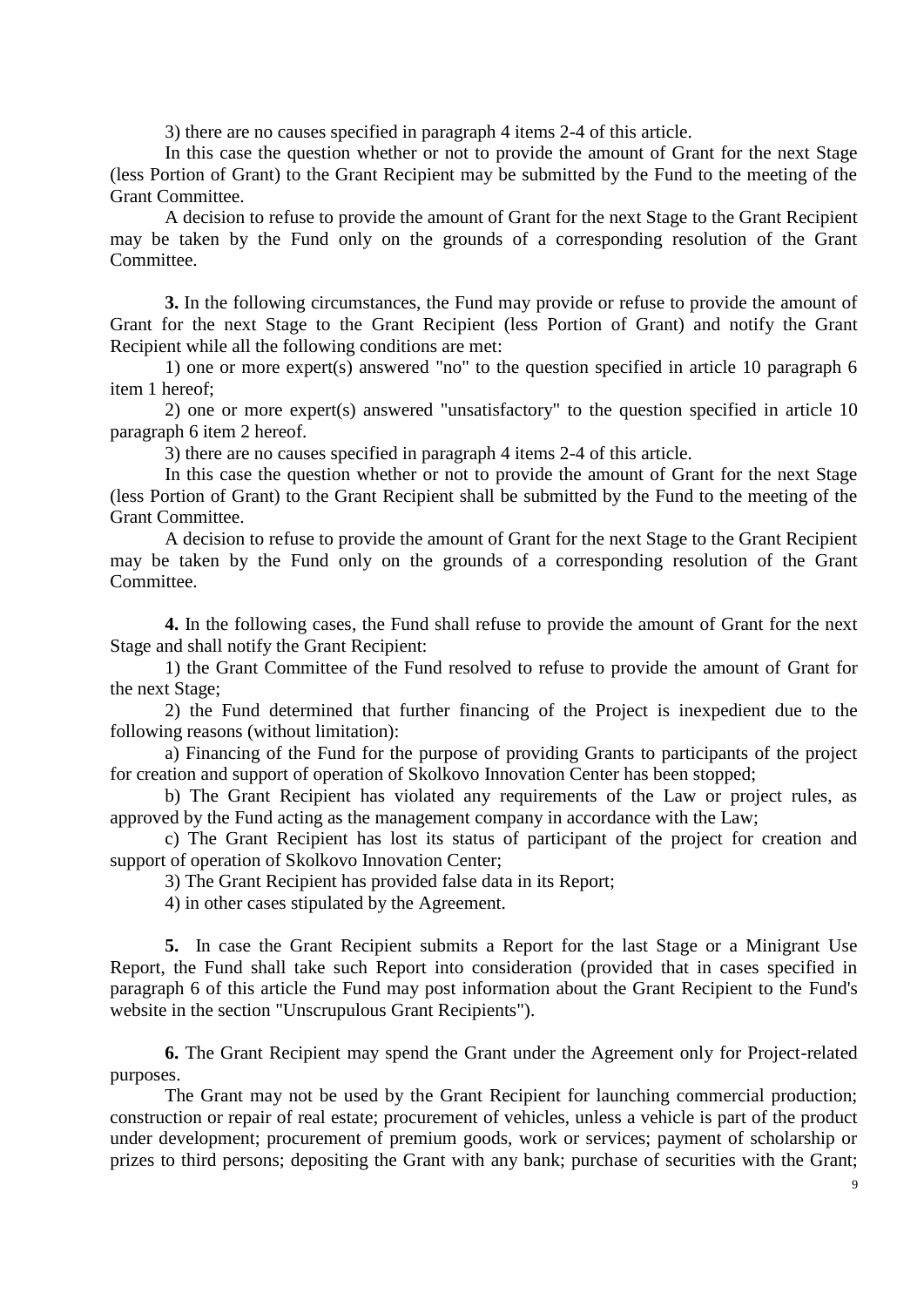3) there are no causes specified in paragraph 4 items 2-4 of this article.

In this case the question whether or not to provide the amount of Grant for the next Stage (less Portion of Grant) to the Grant Recipient may be submitted by the Fund to the meeting of the Grant Committee.

A decision to refuse to provide the amount of Grant for the next Stage to the Grant Recipient may be taken by the Fund only on the grounds of a corresponding resolution of the Grant Committee.

**3.** In the following circumstances, the Fund may provide or refuse to provide the amount of Grant for the next Stage to the Grant Recipient (less Portion of Grant) and notify the Grant Recipient while all the following conditions are met:

1) one or more expert(s) answered "no" to the question specified in article 10 paragraph 6 item 1 hereof;

2) one or more expert(s) answered "unsatisfactory" to the question specified in article 10 paragraph 6 item 2 hereof.

3) there are no causes specified in paragraph 4 items 2-4 of this article.

In this case the question whether or not to provide the amount of Grant for the next Stage (less Portion of Grant) to the Grant Recipient shall be submitted by the Fund to the meeting of the Grant Committee.

A decision to refuse to provide the amount of Grant for the next Stage to the Grant Recipient may be taken by the Fund only on the grounds of a corresponding resolution of the Grant Committee.

**4.** In the following cases, the Fund shall refuse to provide the amount of Grant for the next Stage and shall notify the Grant Recipient:

1) the Grant Committee of the Fund resolved to refuse to provide the amount of Grant for the next Stage;

2) the Fund determined that further financing of the Project is inexpedient due to the following reasons (without limitation):

a) Financing of the Fund for the purpose of providing Grants to participants of the project for creation and support of operation of Skolkovo Innovation Center has been stopped;

b) The Grant Recipient has violated any requirements of the Law or project rules, as approved by the Fund acting as the management company in accordance with the Law;

c) The Grant Recipient has lost its status of participant of the project for creation and support of operation of Skolkovo Innovation Center;

3) The Grant Recipient has provided false data in its Report;

4) in other cases stipulated by the Agreement.

**5.** In case the Grant Recipient submits a Report for the last Stage or a Minigrant Use Report, the Fund shall take such Report into consideration (provided that in cases specified in paragraph 6 of this article the Fund may post information about the Grant Recipient to the Fund's website in the section "Unscrupulous Grant Recipients").

**6.** The Grant Recipient may spend the Grant under the Agreement only for Project-related purposes.

The Grant may not be used by the Grant Recipient for launching commercial production; construction or repair of real estate; procurement of vehicles, unless a vehicle is part of the product under development; procurement of premium goods, work or services; payment of scholarship or prizes to third persons; depositing the Grant with any bank; purchase of securities with the Grant;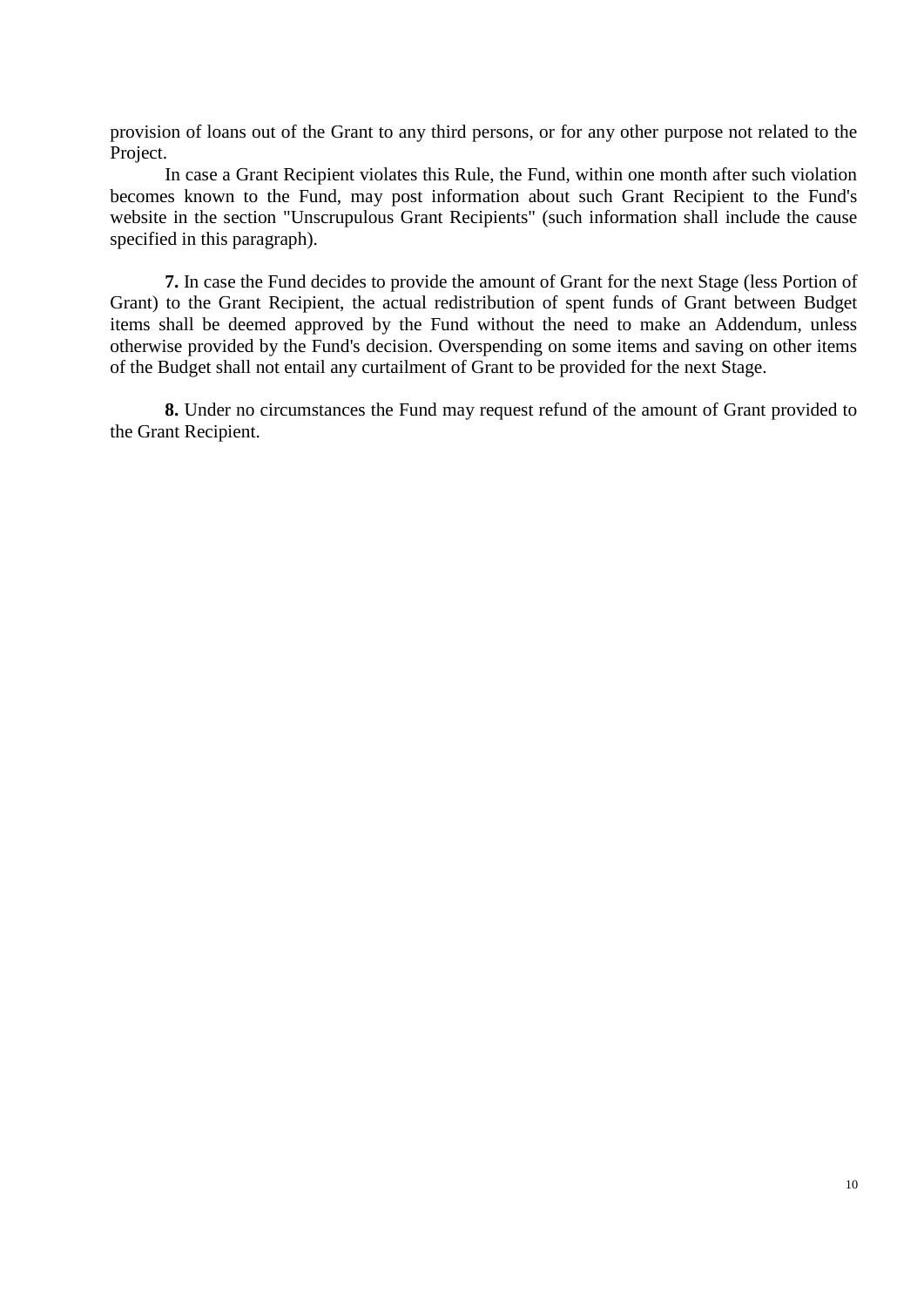provision of loans out of the Grant to any third persons, or for any other purpose not related to the Project.

In case a Grant Recipient violates this Rule, the Fund, within one month after such violation becomes known to the Fund, may post information about such Grant Recipient to the Fund's website in the section "Unscrupulous Grant Recipients" (such information shall include the cause specified in this paragraph).

**7.** In case the Fund decides to provide the amount of Grant for the next Stage (less Portion of Grant) to the Grant Recipient, the actual redistribution of spent funds of Grant between Budget items shall be deemed approved by the Fund without the need to make an Addendum, unless otherwise provided by the Fund's decision. Overspending on some items and saving on other items of the Budget shall not entail any curtailment of Grant to be provided for the next Stage.

**8.** Under no circumstances the Fund may request refund of the amount of Grant provided to the Grant Recipient.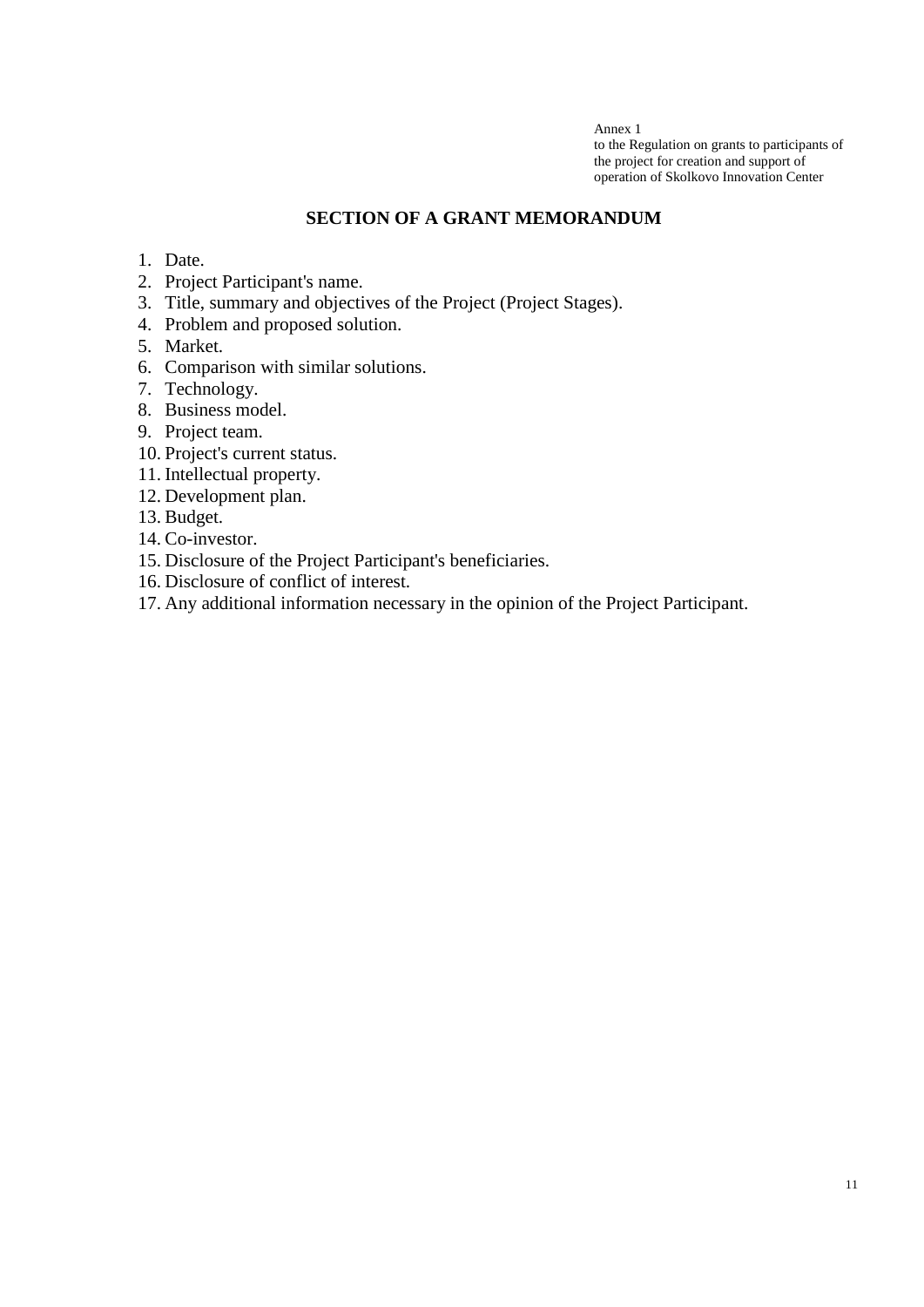Annex 1 to the Regulation on grants to participants of the project for creation and support of operation of Skolkovo Innovation Center

# **SECTION OF A GRANT MEMORANDUM**

- 1. Date.
- 2. Project Participant's name.
- 3. Title, summary and objectives of the Project (Project Stages).
- 4. Problem and proposed solution.
- 5. Market.
- 6. Comparison with similar solutions.
- 7. Technology.
- 8. Business model.
- 9. Project team.
- 10. Project's current status.
- 11. Intellectual property.
- 12. Development plan.
- 13. Budget.
- 14. Co-investor.
- 15. Disclosure of the Project Participant's beneficiaries.
- 16. Disclosure of conflict of interest.
- 17. Any additional information necessary in the opinion of the Project Participant.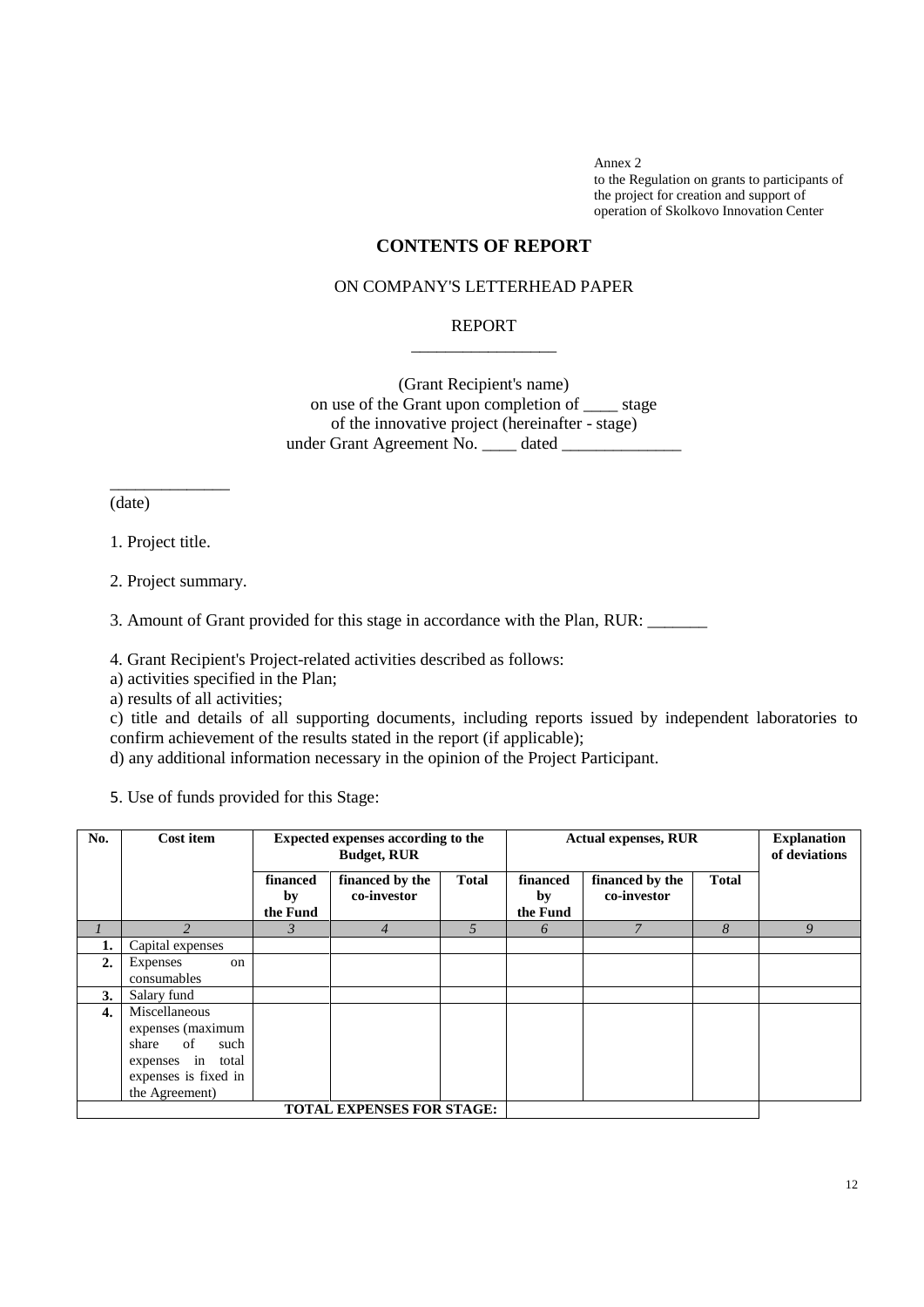Annex 2 to the Regulation on grants to participants of the project for creation and support of operation of Skolkovo Innovation Center

# **CONTENTS OF REPORT**

## ON COMPANY'S LETTERHEAD PAPER

#### REPORT \_\_\_\_\_\_\_\_\_\_\_\_\_\_\_\_\_

(Grant Recipient's name) on use of the Grant upon completion of \_\_\_\_ stage of the innovative project (hereinafter - stage) under Grant Agreement No. \_\_\_\_ dated \_\_\_\_\_\_\_

(date)

1. Project title.

\_\_\_\_\_\_\_\_\_\_\_\_\_\_

2. Project summary.

3. Amount of Grant provided for this stage in accordance with the Plan, RUR: \_\_\_\_\_\_\_

4. Grant Recipient's Project-related activities described as follows:

a) activities specified in the Plan;

a) results of all activities;

c) title and details of all supporting documents, including reports issued by independent laboratories to confirm achievement of the results stated in the report (if applicable);

d) any additional information necessary in the opinion of the Project Participant.

5. Use of funds provided for this Stage:

| No.                              | Cost item                                                                                                                | Expected expenses according to the<br><b>Budget, RUR</b> |                                |              | <b>Actual expenses, RUR</b> |                                |              | <b>Explanation</b><br>of deviations |
|----------------------------------|--------------------------------------------------------------------------------------------------------------------------|----------------------------------------------------------|--------------------------------|--------------|-----------------------------|--------------------------------|--------------|-------------------------------------|
|                                  |                                                                                                                          | financed<br>by<br>the Fund                               | financed by the<br>co-investor | <b>Total</b> | financed<br>by<br>the Fund  | financed by the<br>co-investor | <b>Total</b> |                                     |
|                                  | $\mathfrak{D}$                                                                                                           | 3                                                        | 4                              | 5            | 6                           |                                | 8            | 9                                   |
| 1.                               | Capital expenses                                                                                                         |                                                          |                                |              |                             |                                |              |                                     |
| 2.                               | Expenses<br>on<br>consumables                                                                                            |                                                          |                                |              |                             |                                |              |                                     |
| 3.                               | Salary fund                                                                                                              |                                                          |                                |              |                             |                                |              |                                     |
| 4.                               | Miscellaneous<br>expenses (maximum<br>of<br>share<br>such<br>expenses in total<br>expenses is fixed in<br>the Agreement) |                                                          |                                |              |                             |                                |              |                                     |
| <b>TOTAL EXPENSES FOR STAGE:</b> |                                                                                                                          |                                                          |                                |              |                             |                                |              |                                     |